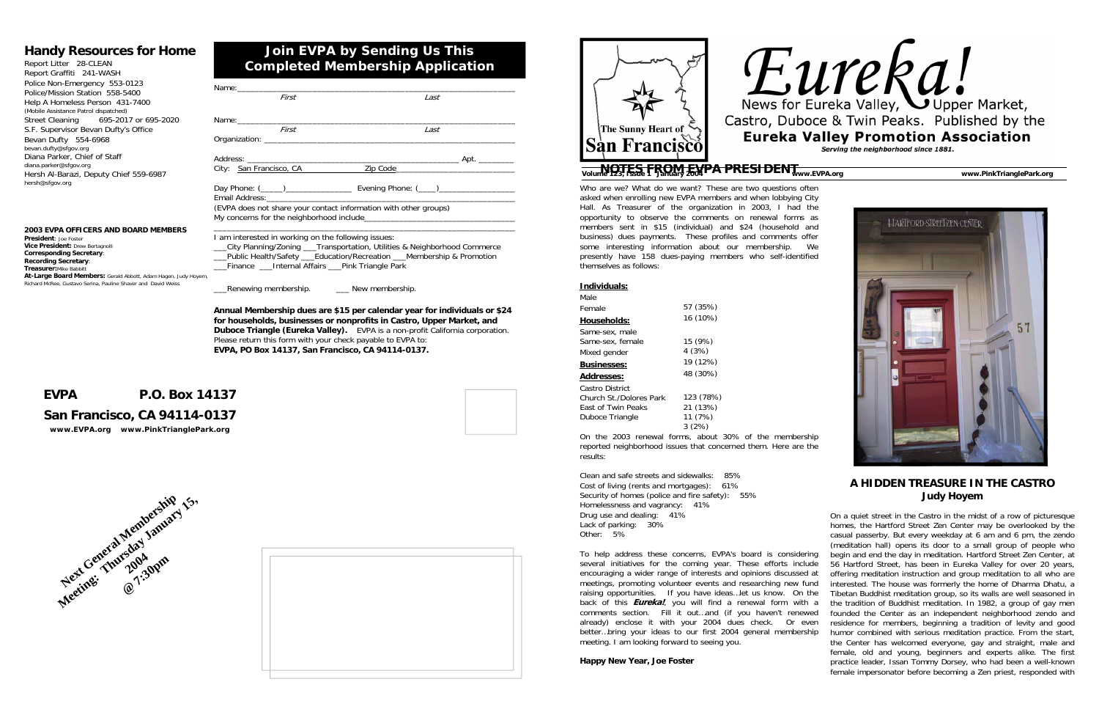Who are we? What do we want? These are two questions often asked when enrolling new EVPA members and when lobbying City Hall. As Treasurer of the organization in 2003, I had the opportunity to observe the comments on renewal forms as members sent in \$15 (individual) and \$24 (household and business) dues payments. These profiles and comments offer some interesting information about our membership. We presently have 158 dues-paying members who self-identified themselves as follows:

On the 2003 renewal forms, about 30% of the membership reported neighborhood issues that concerned them. Here are the results:

Clean and safe streets and sidewalks: 85% Cost of living (rents and mortgages): 61% Security of homes (police and fire safety): 55% Homelessness and vagrancy: 41% Drug use and dealing: 41% Lack of parking: 30% Other: 5%

To help address these concerns, EVPA's board is considering several initiatives for the coming year. These efforts include encouraging a wider range of interests and opinions discussed at meetings, promoting volunteer events and researching new fund raising opportunities. If you have ideas…let us know. On the back of this **Eureka!**, you will find a renewal form with a comments section. Fill it out…and (if you haven't renewed already) enclose it with your 2004 dues check. Or even better…bring your ideas to our first 2004 general membership meeting. I am looking forward to seeing you.

**Happy New Year, Joe Foster**





### **A HIDDEN TREASURE IN THE CASTRO Judy Hoyem**

\_\_\_Public Health/Safety \_\_\_Education/Recreation \_\_\_Membership & Promotion Finance Linternal Affairs Pink Triangle Park

Renewing membership.  $\blacksquare$  New membership.

On a quiet street in the Castro in the midst of a row of picturesque homes, the Hartford Street Zen Center may be overlooked by the casual passerby. But every weekday at 6 am and 6 pm, the zendo (meditation hall) opens its door to a small group of people who begin and end the day in meditation. Hartford Street Zen Center, at 56 Hartford Street, has been in Eureka Valley for over 20 years, offering meditation instruction and group meditation to all who are interested. The house was formerly the home of Dharma Dhatu, a Tibetan Buddhist meditation group, so its walls are well seasoned in the tradition of Buddhist meditation. In 1982, a group of gay men founded the Center as an independent neighborhood zendo and residence for members, beginning a tradition of levity and good humor combined with serious meditation practice. From the start, the Center has welcomed everyone, gay and straight, male and female, old and young, beginners and experts alike. The first practice leader, Issan Tommy Dorsey, who had been a well-known female impersonator before becoming a Zen priest, responded with

| Individuals:              |           |
|---------------------------|-----------|
| Male                      |           |
| Female                    | 57 (35%)  |
| <b>Households:</b>        | 16 (10%)  |
| Same-sex, male            |           |
| Same-sex, female          | 15 (9%)   |
| Mixed gender              | 4(3%)     |
| <b>Businesses:</b>        | 19 (12%)  |
| <b>Addresses:</b>         | 48 (30%)  |
| Castro District           |           |
| Church St./Dolores Park   | 123 (78%) |
| <b>Fast of Twin Peaks</b> | 21 (13%)  |
| Duboce Triangle           | 11 (7%)   |
|                           | 3(2%)     |

| Name: when the contract of the contract of the contract of the contract of the contract of the contract of the |                                                                             |
|----------------------------------------------------------------------------------------------------------------|-----------------------------------------------------------------------------|
| First                                                                                                          | Last                                                                        |
|                                                                                                                |                                                                             |
|                                                                                                                |                                                                             |
| First                                                                                                          | Last                                                                        |
|                                                                                                                |                                                                             |
|                                                                                                                |                                                                             |
|                                                                                                                |                                                                             |
| City: San Francisco, CA                                                                                        | Zip Code 2000                                                               |
|                                                                                                                |                                                                             |
|                                                                                                                |                                                                             |
| (EVPA does not share your contact information with other groups)                                               |                                                                             |
|                                                                                                                |                                                                             |
| I am interested in working on the following issues:                                                            |                                                                             |
|                                                                                                                | __City Planning/Zoning ___Transportation, Utilities & Neighborhood Commerce |

**Annual Membership dues are \$15 per calendar year for individuals or \$24 for households, businesses or nonprofits in Castro, Upper Market, and Duboce Triangle (Eureka Valley).** EVPA is a non-profit California corporation. Please return this form with your check payable to EVPA to: **EVPA, PO Box 14137, San Francisco, CA 94114-0137.**

# **Join EVPA by Sending Us This Completed Membership Application**

# **Handy Resources for Home**

Report Litter 28-CLEAN Report Graffiti 241-WASH Police Non-Emergency 553-0123 Police/Mission Station 558-5400 Help A Homeless Person 431-7400 (Mobile Assistance Patrol dispatched) Street Cleaning 695-2017 or 695-2020 S.F. Supervisor Bevan Dufty's Office Bevan Dufty 554-6968 bevan.dufty@sfgov.org Diana Parker, Chief of Staff diana.parker@sfgov.org Hersh Al-Barazi, Deputy Chief 559-6987 hersh@sfgov.org

# **EVPA P.O. Box 14137**

# **San Francisco, CA 94114-0137**

*www.EVPA.org www.PinkTrianglePark.org*

## **2003 EVPA OFFICERS AND BOARD MEMBERS**

**President**: Joe Foster**Vice President:** Drew Bertagnolli **Corresponding Secretary**: **Recording Secretary**: **Treasurer:**Mike Babbitt **At-Large Board Members:** Gerald Abbott, Adam Hagen, Judy Hoyem, Richard McRee, Gustavo Serina, Pauline Shaver and David Weiss







# **MOTES FROM EVPA PRESIDENT**<br>Volume 123, Issue 1 January 2004 PRESIDENT Www.EVPA.org www.PinkTrianglePark.org www.PinkTrianglePark.org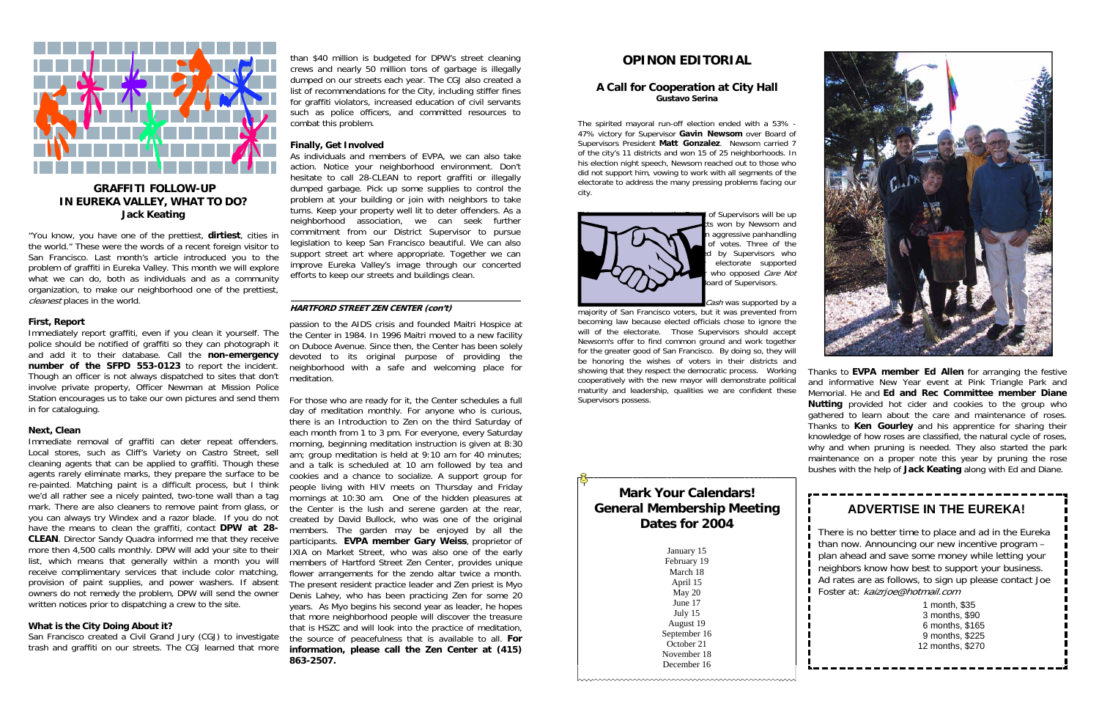# **OPINON EDITORIAL**

#### **A Call for Cooperation at City Hall Gustavo Serina**

The spirited mayoral run-off election ended with a 53% - 47% victory for Supervisor **Gavin Newsom** over Board of Supervisors President **Matt Gonzalez**. Newsom carried 7 of the city's 11 districts and won 15 of 25 neighborhoods. In his election night speech, Newsom reached out to those who did not support him, vowing to work with all segments of the electorate to address the many pressing problems facing our city.



of Supervisors will be up is won by Newsom and aggressive panhandling of votes. Three of the by Supervisors who electorate supported who opposed  $\overset{\frown}{\mathit{Care}}$  Not oard of Supervisors.

Cash was supported by a

"You know, you have one of the prettiest, **dirtiest**, cities in the world." These were the words of a recent foreign visitor to San Francisco. Last month's article introduced you to the problem of graffiti in Eureka Valley. This month we will explore what we can do, both as individuals and as a community organization, to make our neighborhood one of the prettiest, cleanest places in the world.

> majority of San Francisco voters, but it was prevented from becoming law because elected officials chose to ignore the will of the electorate. Those Supervisors should accept Newsom's offer to find common ground and work together for the greater good of San Francisco. By doing so, they will be honoring the wishes of voters in their districts and showing that they respect the democratic process. Working cooperatively with the new mayor will demonstrate political maturity and leadership, qualities we are confident these Supervisors possess.



## **GRAFFITI FOLLOW-UP IN EUREKA VALLEY, WHAT TO DO? Jack Keating**

#### **First, Report**

Immediately report graffiti, even if you clean it yourself. The police should be notified of graffiti so they can photograph it and add it to their database. Call the **non-emergency number of the SFPD 553-0123** to report the incident. Though an officer is not always dispatched to sites that don't involve private property, Officer Newman at Mission Police Station encourages us to take our own pictures and send them in for cataloguing.

#### **Next, Clean**

Immediate removal of graffiti can deter repeat offenders. Local stores, such as Cliff's Variety on Castro Street, sell cleaning agents that can be applied to graffiti. Though these agents rarely eliminate marks, they prepare the surface to be re-painted. Matching paint is a difficult process, but I think we'd all rather see a nicely painted, two-tone wall than a tag mark. There are also cleaners to remove paint from glass, or you can always try Windex and a razor blade. If you do not have the means to clean the graffiti, contact **DPW at 28- CLEAN**. Director Sandy Quadra informed me that they receive more then 4,500 calls monthly. DPW will add your site to their list, which means that generally within a month you will receive complimentary services that include color matching, provision of paint supplies, and power washers. If absent owners do not remedy the problem, DPW will send the owner written notices prior to dispatching a crew to the site.

#### **What is the City Doing About it?**

San Francisco created a Civil Grand Jury (CGJ) to investigate trash and graffiti on our streets. The CGJ learned that more

than \$40 million is budgeted for DPW's street cleaning crews and nearly 50 million tons of garbage is illegally dumped on our streets each year. The CGJ also created a list of recommendations for the City, including stiffer fines for graffiti violators, increased education of civil servants such as police officers, and committed resources to combat this problem.

#### **Finally, Get Involved**

As individuals and members of EVPA, we can also take action. Notice your neighborhood environment. Don't hesitate to call 28-CLEAN to report graffiti or illegally dumped garbage. Pick up some supplies to control the problem at your building or join with neighbors to take turns. Keep your property well lit to deter offenders. As a neighborhood association, we can seek further commitment from our District Supervisor to pursue legislation to keep San Francisco beautiful. We can also support street art where appropriate. Together we can improve Eureka Valley's image through our concerted efforts to keep our streets and buildings clean.

passion to the AIDS crisis and founded Maitri Hospice at the Center in 1984. In 1996 Maitri moved to a new facility on Duboce Avenue. Since then, the Center has been solely devoted to its original purpose of providing the neighborhood with a safe and welcoming place for meditation.

For those who are ready for it, the Center schedules a full day of meditation monthly. For anyone who is curious, there is an Introduction to Zen on the third Saturday of each month from 1 to 3 pm. For everyone, every Saturday morning, beginning meditation instruction is given at 8:30 am; group meditation is held at 9:10 am for 40 minutes; and a talk is scheduled at 10 am followed by tea and cookies and a chance to socialize. A support group for people living with HIV meets on Thursday and Friday mornings at 10:30 am. One of the hidden pleasures at the Center is the lush and serene garden at the rear, created by David Bullock, who was one of the original members. The garden may be enjoyed by all the participants. **EVPA member Gary Weiss**, proprietor of IXIA on Market Street, who was also one of the early members of Hartford Street Zen Center, provides unique flower arrangements for the zendo altar twice a month. The present resident practice leader and Zen priest is Myo Denis Lahey, who has been practicing Zen for some 20 years. As Myo begins his second year as leader, he hopes that more neighborhood people will discover the treasure that is HSZC and will look into the practice of meditation, the source of peacefulness that is available to all. **For information, please call the Zen Center at (415) 863-2507.** 

#### **HARTFORD STREET ZEN CENTER (con't)**

# **ADVERTISE IN THE EUREKA!**

There is no better time to place and ad in the Eureka than now. Announcing our new incentive program – plan ahead and save some money while letting your neighbors know how best to support your business. Ad rates are as follows, to sign up please contact Joe Foster at: kaizrjoe@hotmail.com

> 1 month, \$35 3 months, \$90 6 months, \$165 9 months, \$225 12 months, \$270

Thanks to **EVPA member Ed Allen** for arranging the festive and informative New Year event at Pink Triangle Park and Memorial. He and **Ed and Rec Committee member Diane Nutting** provided hot cider and cookies to the group who gathered to learn about the care and maintenance of roses. Thanks to **Ken Gourley** and his apprentice for sharing their knowledge of how roses are classified, the natural cycle of roses, why and when pruning is needed. They also started the park maintenance on a proper note this year by pruning the rose bushes with the help of **Jack Keating** along with Ed and Diane.



January 15 February 19 March 18 April 15 May 20 June 17 July 15 August 19 September 16 October 21 November 18 December 16

www.www.www.www.www.www.www.ww

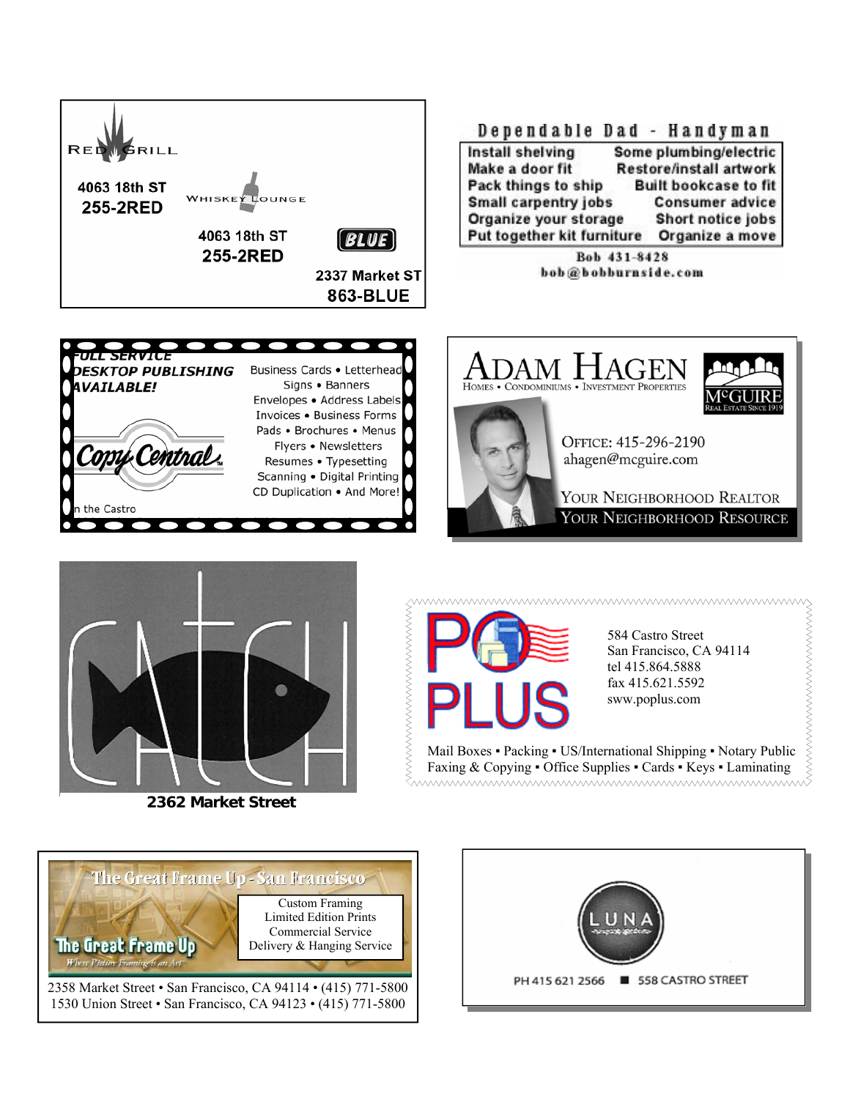







**2362 Market Street** 



584 Castro Street San Francisco, CA 94114 tel 415.864.5888 fax 415.621.5592 sww.poplus.com

Mail Boxes ▪ Packing ▪ US/International Shipping ▪ Notary Public Faxing & Copying • Office Supplies • Cards • Keys • Laminating